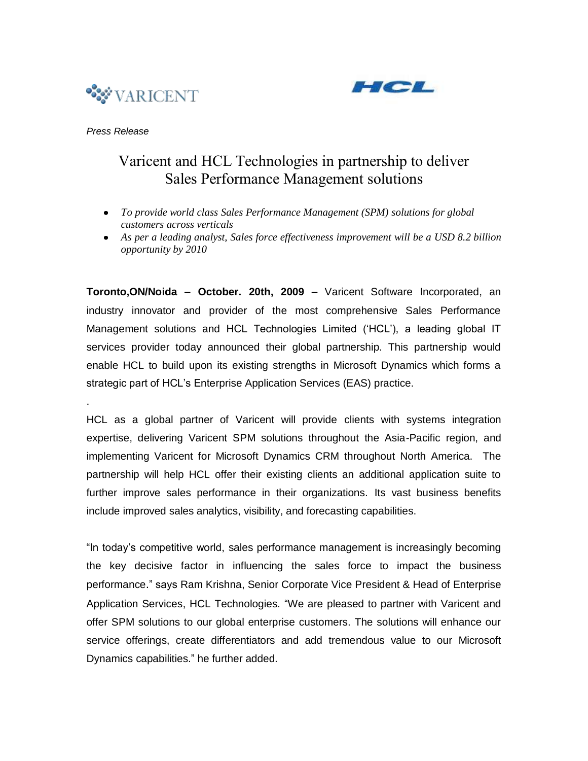



## *Press Release*

.

# Varicent and HCL Technologies in partnership to deliver Sales Performance Management solutions

- *To provide world class Sales Performance Management (SPM) solutions for global customers across verticals*
- *As per a leading analyst, Sales force effectiveness improvement will be a USD 8.2 billion opportunity by 2010*

**Toronto,ON/Noida – October. 20th, 2009 –** Varicent Software Incorporated, an industry innovator and provider of the most comprehensive Sales Performance Management solutions and HCL Technologies Limited ("HCL"), a leading global IT services provider today announced their global partnership. This partnership would enable HCL to build upon its existing strengths in Microsoft Dynamics which forms a strategic part of HCL"s Enterprise Application Services (EAS) practice.

HCL as a global partner of Varicent will provide clients with systems integration expertise, delivering Varicent SPM solutions throughout the Asia-Pacific region, and implementing Varicent for Microsoft Dynamics CRM throughout North America. The partnership will help HCL offer their existing clients an additional application suite to further improve sales performance in their organizations. Its vast business benefits include improved sales analytics, visibility, and forecasting capabilities.

"In today"s competitive world, sales performance management is increasingly becoming the key decisive factor in influencing the sales force to impact the business performance." says Ram Krishna, Senior Corporate Vice President & Head of Enterprise Application Services, HCL Technologies. "We are pleased to partner with Varicent and offer SPM solutions to our global enterprise customers. The solutions will enhance our service offerings, create differentiators and add tremendous value to our Microsoft Dynamics capabilities." he further added.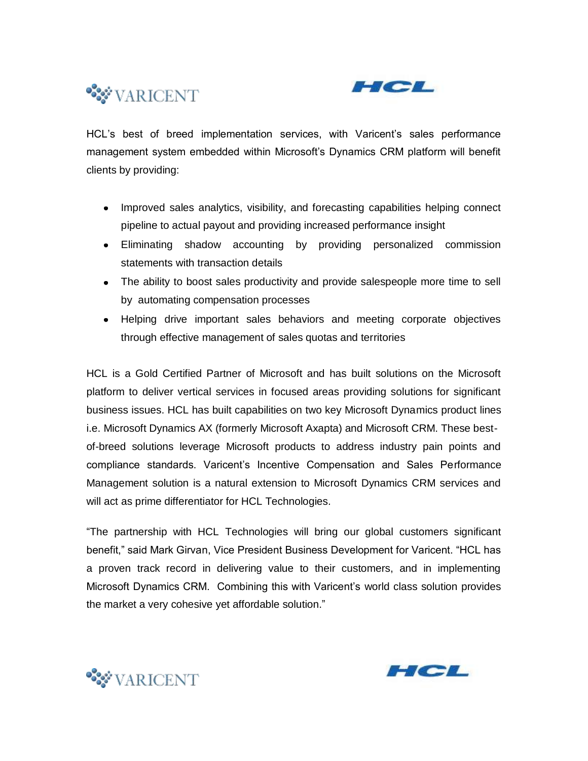



HCL"s best of breed implementation services, with Varicent"s sales performance management system embedded within Microsoft"s Dynamics CRM platform will benefit clients by providing:

- Improved sales analytics, visibility, and forecasting capabilities helping connect pipeline to actual payout and providing increased performance insight
- Eliminating shadow accounting by providing personalized commission statements with transaction details
- The ability to boost sales productivity and provide salespeople more time to sell by automating compensation processes
- Helping drive important sales behaviors and meeting corporate objectives through effective management of sales quotas and territories

HCL is a Gold Certified Partner of Microsoft and has built solutions on the Microsoft platform to deliver vertical services in focused areas providing solutions for significant business issues. HCL has built capabilities on two key Microsoft Dynamics product lines i.e. Microsoft Dynamics AX (formerly Microsoft Axapta) and Microsoft CRM. These bestof-breed solutions leverage Microsoft products to address industry pain points and compliance standards. Varicent"s Incentive Compensation and Sales Performance Management solution is a natural extension to Microsoft Dynamics CRM services and will act as prime differentiator for HCL Technologies.

"The partnership with HCL Technologies will bring our global customers significant benefit," said Mark Girvan, Vice President Business Development for Varicent. "HCL has a proven track record in delivering value to their customers, and in implementing Microsoft Dynamics CRM. Combining this with Varicent"s world class solution provides the market a very cohesive yet affordable solution."



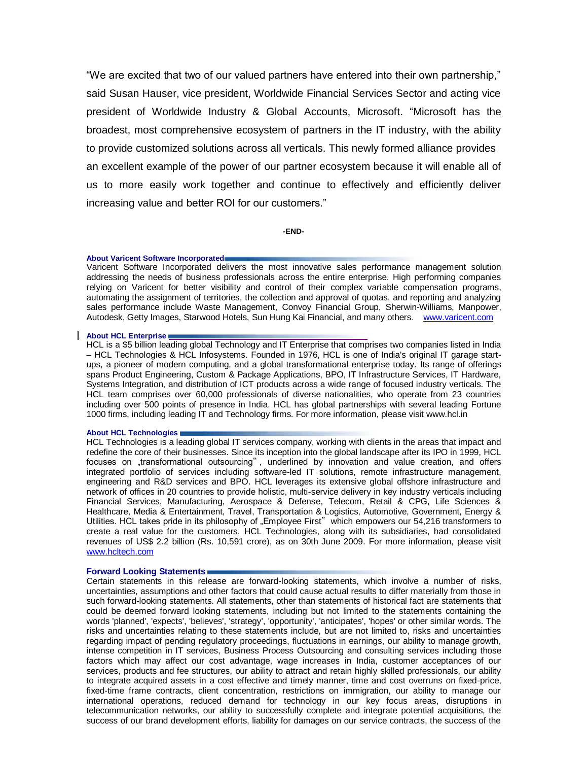"We are excited that two of our valued partners have entered into their own partnership," said Susan Hauser, vice president, Worldwide Financial Services Sector and acting vice president of Worldwide Industry & Global Accounts, Microsoft. "Microsoft has the broadest, most comprehensive ecosystem of partners in the IT industry, with the ability to provide customized solutions across all verticals. This newly formed alliance provides an excellent example of the power of our partner ecosystem because it will enable all of us to more easily work together and continue to effectively and efficiently deliver increasing value and better ROI for our customers."

**-END-**

#### **About Varicent Software Incorporated**

Varicent Software Incorporated delivers the most innovative sales performance management solution addressing the needs of business professionals across the entire enterprise. High performing companies relying on Varicent for better visibility and control of their complex variable compensation programs, automating the assignment of territories, the collection and approval of quotas, and reporting and analyzing sales performance include Waste Management, Convoy Financial Group, Sherwin-Williams, Manpower, Autodesk, Getty Images, Starwood Hotels, Sun Hung Kai Financial, and many others. [www.varicent.com](http://www.varicent.com/)

#### **About HCL Enterprise**

HCL is a \$5 billion leading global Technology and IT Enterprise that comprises two companies listed in India – HCL Technologies & HCL Infosystems. Founded in 1976, HCL is one of India's original IT garage startups, a pioneer of modern computing, and a global transformational enterprise today. Its range of offerings spans Product Engineering, Custom & Package Applications, BPO, IT Infrastructure Services, IT Hardware, Systems Integration, and distribution of ICT products across a wide range of focused industry verticals. The HCL team comprises over 60,000 professionals of diverse nationalities, who operate from 23 countries including over 500 points of presence in India. HCL has global partnerships with several leading Fortune 1000 firms, including leading IT and Technology firms. For more information, please visit www.hcl.in

#### **About HCL Technologies**

HCL Technologies is a leading global IT services company, working with clients in the areas that impact and redefine the core of their businesses. Since its inception into the global landscape after its IPO in 1999, HCL focuses on "transformational outsourcing", underlined by innovation and value creation, and offers integrated portfolio of services including software-led IT solutions, remote infrastructure management, engineering and R&D services and BPO. HCL leverages its extensive global offshore infrastructure and network of offices in 20 countries to provide holistic, multi-service delivery in key industry verticals including Financial Services, Manufacturing, Aerospace & Defense, Telecom, Retail & CPG, Life Sciences & Healthcare, Media & Entertainment, Travel, Transportation & Logistics, Automotive, Government, Energy & Utilities. HCL takes pride in its philosophy of "Employee First" which empowers our 54,216 transformers to create a real value for the customers. HCL Technologies, along with its subsidiaries, had consolidated revenues of US\$ 2.2 billion (Rs. 10,591 crore), as on 30th June 2009. For more information, please visit [www.hcltech.com](http://www.hcltech.com/)

### **Forward Looking Statements**

Certain statements in this release are forward-looking statements, which involve a number of risks, uncertainties, assumptions and other factors that could cause actual results to differ materially from those in such forward-looking statements. All statements, other than statements of historical fact are statements that could be deemed forward looking statements, including but not limited to the statements containing the words 'planned', 'expects', 'believes', 'strategy', 'opportunity', 'anticipates', 'hopes' or other similar words. The risks and uncertainties relating to these statements include, but are not limited to, risks and uncertainties regarding impact of pending regulatory proceedings, fluctuations in earnings, our ability to manage growth, intense competition in IT services, Business Process Outsourcing and consulting services including those factors which may affect our cost advantage, wage increases in India, customer acceptances of our services, products and fee structures, our ability to attract and retain highly skilled professionals, our ability to integrate acquired assets in a cost effective and timely manner, time and cost overruns on fixed-price, fixed-time frame contracts, client concentration, restrictions on immigration, our ability to manage our international operations, reduced demand for technology in our key focus areas, disruptions in telecommunication networks, our ability to successfully complete and integrate potential acquisitions, the success of our brand development efforts, liability for damages on our service contracts, the success of the